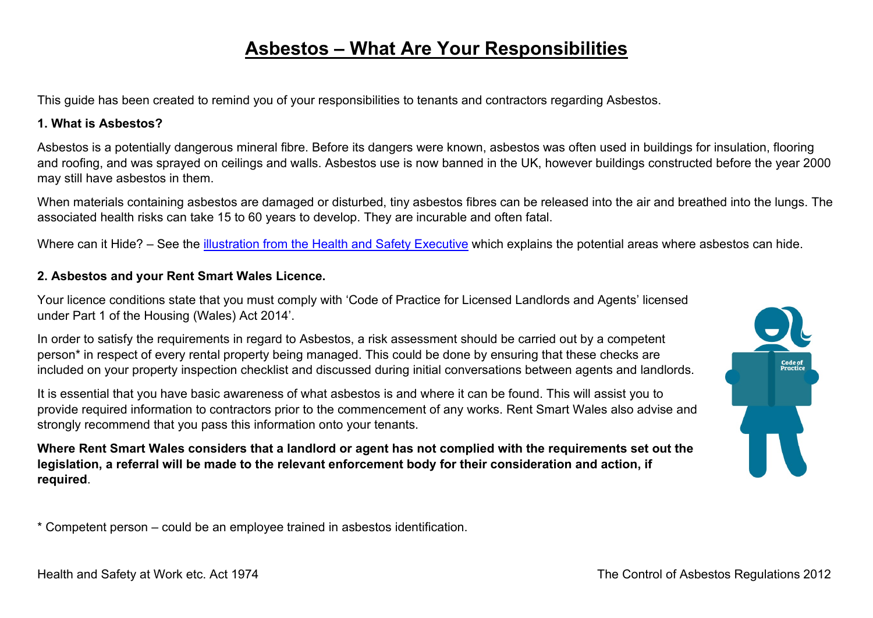# **Asbestos – What Are Your Responsibilities**

This guide has been created to remind you of your responsibilities to tenants and contractors regarding Asbestos.

#### **1. What is Asbestos?**

Asbestos is a potentially dangerous mineral fibre. Before its dangers were known, asbestos was often used in buildings for insulation, flooring and roofing, and was sprayed on ceilings and walls. Asbestos use is now banned in the UK, however buildings constructed before the year 2000 may still have asbestos in them.

When materials containing asbestos are damaged or disturbed, tiny asbestos fibres can be released into the air and breathed into the lungs. The associated health risks can take 15 to 60 years to develop. They are incurable and often fatal.

Where can it Hide? – See the [illustration from the Health and Safety Executive](https://www.hse.gov.uk/asbestos/building.htm) which explains the potential areas where asbestos can hide.

#### **2. Asbestos and your Rent Smart Wales Licence.**

Your licence conditions state that you must comply with 'Code of Practice for Licensed Landlords and Agents' licensed under Part 1 of the Housing (Wales) Act 2014'.

In order to satisfy the requirements in regard to Asbestos, a risk assessment should be carried out by a competent person\* in respect of every rental property being managed. This could be done by ensuring that these checks are included on your property inspection checklist and discussed during initial conversations between agents and landlords.

It is essential that you have basic awareness of what asbestos is and where it can be found. This will assist you to provide required information to contractors prior to the commencement of any works. Rent Smart Wales also advise and strongly recommend that you pass this information onto your tenants.

**Where Rent Smart Wales considers that a landlord or agent has not complied with the requirements set out the legislation, a referral will be made to the relevant enforcement body for their consideration and action, if required**.



\* Competent person – could be an employee trained in asbestos identification.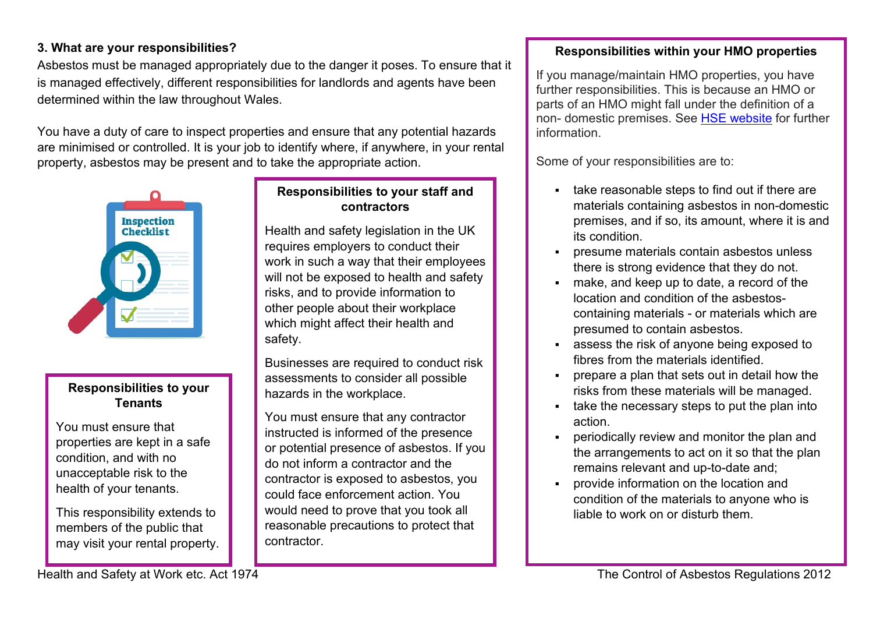## **3. What are your responsibilities?**

Asbestos must be managed appropriately due to the danger it poses. To ensure that it is managed effectively, different responsibilities for landlords and agents have been determined within the law throughout Wales.

You have a duty of care to inspect properties and ensure that any potential hazards are minimised or controlled. It is your job to identify where, if anywhere, in your rental property, asbestos may be present and to take the appropriate action.



#### **Responsibilities to your Tenants**

You must ensure that properties are kept in a safe condition, and with no unacceptable risk to the health of your tenants.

This responsibility extends to members of the public that may visit your rental property.

### **Responsibilities to your staff and contractors**

Health and safety legislation in the UK requires employers to conduct their work in such a way that their employees will not be exposed to health and safety risks, and to provide information to other people about their workplace which might affect their health and safety.

Businesses are required to conduct risk assessments to consider all possible hazards in the workplace.

You must ensure that any contractor instructed is informed of the presence or potential presence of asbestos. If you do not inform a contractor and the contractor is exposed to asbestos, you could face enforcement action. You would need to prove that you took all reasonable precautions to protect that contractor.

#### **Responsibilities within your HMO properties**

If you manage/maintain HMO properties, you have further responsibilities. This is because an HMO or parts of an HMO might fall under the definition of a non- domestic premises. See [HSE website](https://www.hse.gov.uk/asbestos/duty.htm#premises) for further information.

Some of your responsibilities are to:

- take reasonable steps to find out if there are materials containing asbestos in non-domestic premises, and if so, its amount, where it is and its condition.
- presume materials contain asbestos unless there is strong evidence that they do not.
- make, and keep up to date, a record of the location and condition of the asbestoscontaining materials - or materials which are presumed to contain asbestos.
- assess the risk of anyone being exposed to fibres from the materials identified.
- prepare a plan that sets out in detail how the risks from these materials will be managed.
- take the necessary steps to put the plan into action.
- periodically review and monitor the plan and the arrangements to act on it so that the plan remains relevant and up-to-date and;
- provide information on the location and condition of the materials to anyone who is liable to work on or disturb them.